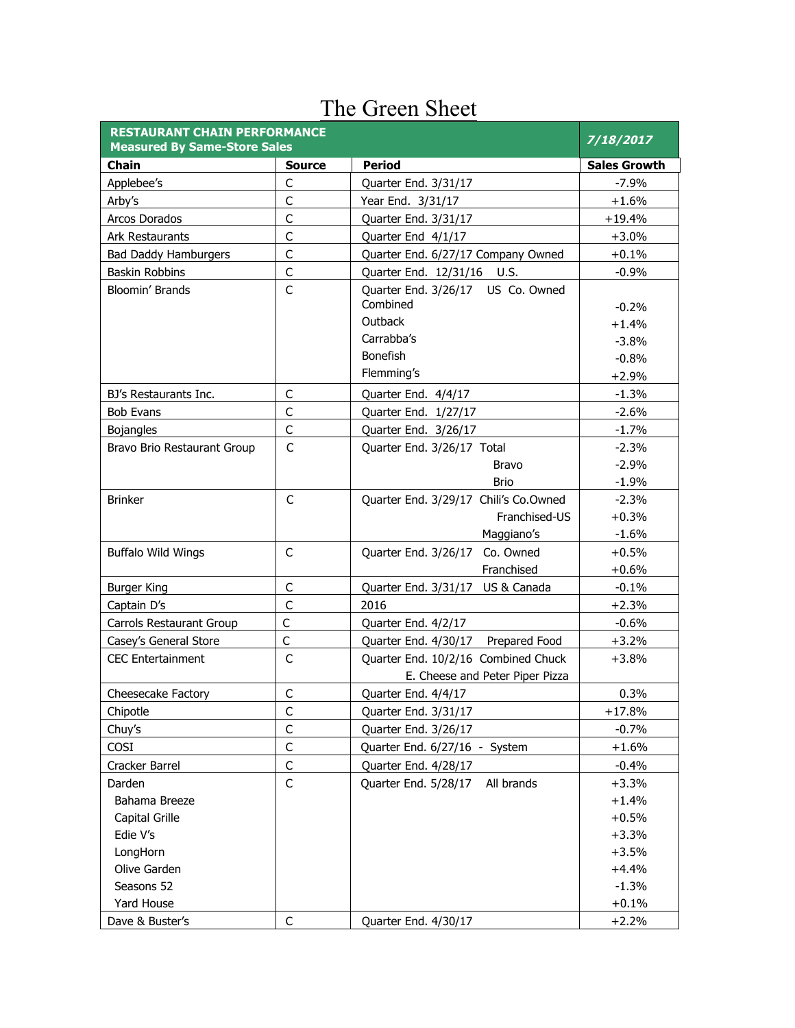| <b>RESTAURANT CHAIN PERFORMANCE</b><br><b>Measured By Same-Store Sales</b> | 7/18/2017     |                                       |                     |
|----------------------------------------------------------------------------|---------------|---------------------------------------|---------------------|
| <b>Chain</b>                                                               | <b>Source</b> | <b>Period</b>                         | <b>Sales Growth</b> |
| Applebee's                                                                 | $\mathsf C$   | Quarter End. 3/31/17                  | $-7.9%$             |
| Arby's                                                                     | $\mathsf C$   | Year End. 3/31/17                     | $+1.6%$             |
| Arcos Dorados                                                              | $\mathsf{C}$  | Quarter End. 3/31/17                  | $+19.4%$            |
| Ark Restaurants                                                            | $\mathsf{C}$  | Quarter End 4/1/17                    | $+3.0%$             |
| <b>Bad Daddy Hamburgers</b>                                                | $\mathsf{C}$  | Quarter End. 6/27/17 Company Owned    | $+0.1%$             |
| Baskin Robbins                                                             | $\mathsf C$   | Quarter End. 12/31/16 U.S.            | $-0.9%$             |
| <b>Bloomin' Brands</b>                                                     | $\mathsf{C}$  | Quarter End. 3/26/17 US Co. Owned     |                     |
|                                                                            |               | Combined                              | $-0.2%$             |
|                                                                            |               | Outback                               | $+1.4%$             |
|                                                                            |               | Carrabba's                            | $-3.8%$             |
|                                                                            |               | <b>Bonefish</b>                       | $-0.8%$             |
|                                                                            |               | Flemming's                            | $+2.9%$             |
| BJ's Restaurants Inc.                                                      | C             | Quarter End. 4/4/17                   | $-1.3%$             |
| <b>Bob Evans</b>                                                           | $\mathsf{C}$  | Quarter End. 1/27/17                  | $-2.6%$             |
| <b>Bojangles</b>                                                           | $\mathsf{C}$  | Quarter End. 3/26/17                  | $-1.7%$             |
| Bravo Brio Restaurant Group                                                | $\mathsf{C}$  | Quarter End. 3/26/17 Total            | $-2.3%$             |
|                                                                            |               | <b>Bravo</b>                          | $-2.9%$             |
|                                                                            |               | <b>Brio</b>                           | $-1.9%$             |
| <b>Brinker</b>                                                             | $\mathsf{C}$  | Quarter End. 3/29/17 Chili's Co.Owned | $-2.3%$             |
|                                                                            |               | Franchised-US                         | $+0.3%$             |
|                                                                            |               | Maggiano's                            | $-1.6%$             |
| <b>Buffalo Wild Wings</b>                                                  | $\mathsf{C}$  | Quarter End. 3/26/17 Co. Owned        | $+0.5%$             |
|                                                                            |               | Franchised                            | $+0.6%$             |
| <b>Burger King</b>                                                         | $\mathsf{C}$  | Quarter End. 3/31/17 US & Canada      | $-0.1%$             |
| Captain D's                                                                | $\mathsf{C}$  | 2016                                  | $+2.3%$             |
| Carrols Restaurant Group                                                   | $\mathsf{C}$  | Quarter End. 4/2/17                   | $-0.6%$             |
| Casey's General Store                                                      | $\mathsf{C}$  | Quarter End. 4/30/17 Prepared Food    | $+3.2%$             |
| <b>CEC Entertainment</b>                                                   | $\mathsf{C}$  | Quarter End. 10/2/16 Combined Chuck   | $+3.8\%$            |
|                                                                            |               | E. Cheese and Peter Piper Pizza       |                     |
| <b>Cheesecake Factory</b>                                                  | C             | Quarter End. 4/4/17                   | 0.3%                |
| Chipotle                                                                   | C             | Quarter End. 3/31/17                  | $+17.8%$            |
| Chuy's                                                                     | $\mathsf{C}$  | Quarter End. 3/26/17                  | $-0.7%$             |
| COSI                                                                       | $\mathsf C$   | Quarter End. 6/27/16 - System         | $+1.6%$             |
| Cracker Barrel                                                             | $\mathsf{C}$  | Quarter End. 4/28/17                  | $-0.4%$             |
| Darden                                                                     | $\mathsf{C}$  | Quarter End. 5/28/17<br>All brands    | $+3.3%$             |
| Bahama Breeze                                                              |               |                                       | $+1.4%$             |
| Capital Grille                                                             |               |                                       | $+0.5%$             |
| Edie V's                                                                   |               |                                       | $+3.3%$             |
| LongHorn                                                                   |               |                                       | $+3.5%$             |
| Olive Garden                                                               |               |                                       | $+4.4%$             |
| Seasons 52                                                                 |               |                                       | $-1.3%$             |
| Yard House                                                                 |               |                                       | $+0.1%$             |
| Dave & Buster's                                                            | $\mathsf C$   | Quarter End. 4/30/17                  | $+2.2%$             |

## The Green Sheet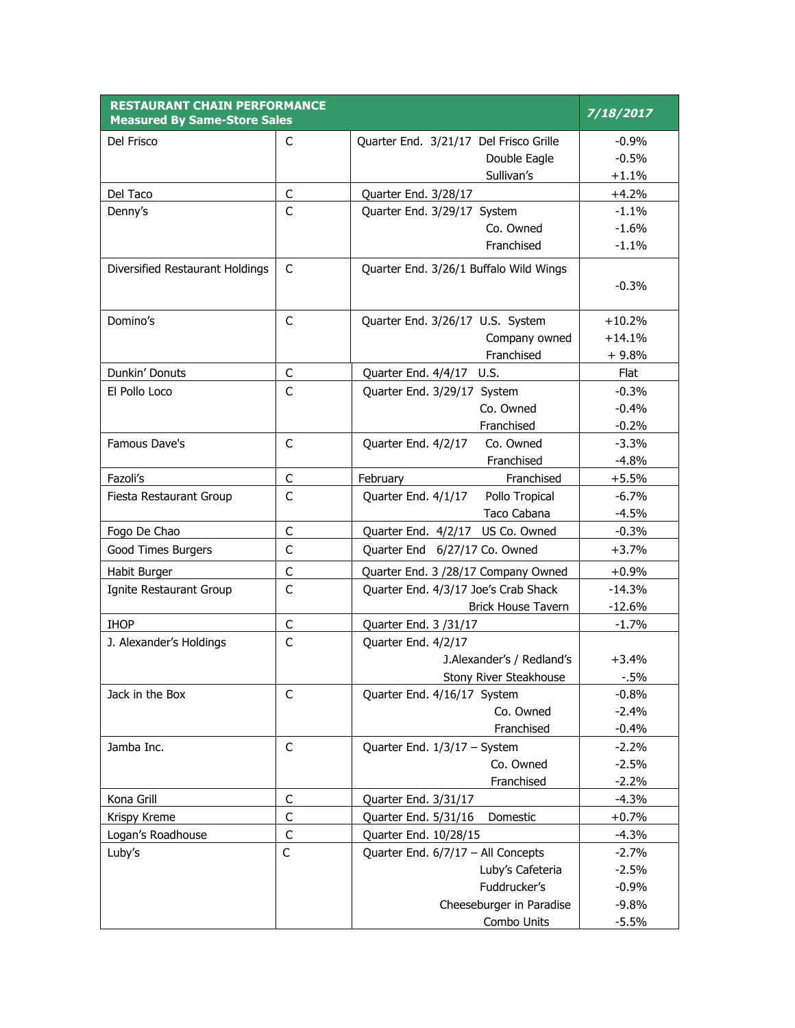| <b>RESTAURANT CHAIN PERFORMANCE</b><br><b>Measured By Same-Store Sales</b> | 7/18/2017    |                                          |                    |
|----------------------------------------------------------------------------|--------------|------------------------------------------|--------------------|
| Del Frisco                                                                 | C            | Quarter End. 3/21/17 Del Frisco Grille   | $-0.9%$            |
|                                                                            |              | Double Eagle                             | $-0.5%$            |
|                                                                            |              | Sullivan's                               | $+1.1%$            |
| Del Taco                                                                   | $\mathsf C$  | Quarter End. 3/28/17                     | $+4.2%$            |
| Denny's                                                                    | C            | Quarter End. 3/29/17 System              | $-1.1%$            |
|                                                                            |              | Co. Owned                                | $-1.6%$            |
|                                                                            |              | Franchised                               | $-1.1%$            |
| Diversified Restaurant Holdings                                            | $\mathsf{C}$ | Quarter End. 3/26/1 Buffalo Wild Wings   | $-0.3%$            |
| Domino's                                                                   | $\mathsf{C}$ | Quarter End. 3/26/17 U.S. System         | $+10.2%$           |
|                                                                            |              | Company owned                            | $+14.1%$           |
|                                                                            |              | Franchised                               | $+9.8%$            |
| Dunkin' Donuts                                                             | C            | Quarter End. 4/4/17 U.S.                 | Flat               |
| El Pollo Loco                                                              | C            | Quarter End. 3/29/17 System              | $-0.3%$            |
|                                                                            |              | Co. Owned                                | $-0.4%$            |
|                                                                            |              | Franchised                               | $-0.2%$            |
| Famous Dave's                                                              | C            | Quarter End. 4/2/17<br>Co. Owned         | $-3.3%$            |
|                                                                            |              | Franchised                               | $-4.8%$            |
| Fazoli's                                                                   | $\mathsf C$  | Franchised<br>February                   | $+5.5%$            |
| Fiesta Restaurant Group                                                    | C            | Pollo Tropical<br>Quarter End. 4/1/17    | $-6.7%$            |
|                                                                            |              | Taco Cabana                              | $-4.5%$            |
| Fogo De Chao                                                               | $\mathsf{C}$ | Quarter End. 4/2/17 US Co. Owned         | $-0.3%$            |
| Good Times Burgers                                                         | $\mathsf{C}$ | Quarter End 6/27/17 Co. Owned            | $+3.7%$            |
| Habit Burger                                                               | $\mathsf{C}$ | Quarter End. 3 /28/17 Company Owned      | $+0.9%$            |
| Ignite Restaurant Group                                                    | C            | Quarter End. 4/3/17 Joe's Crab Shack     | $-14.3%$           |
|                                                                            |              | <b>Brick House Tavern</b>                | $-12.6%$           |
| <b>IHOP</b>                                                                | $\mathsf C$  | Quarter End. 3 /31/17                    | $-1.7%$            |
| J. Alexander's Holdings                                                    | C            | Quarter End. 4/2/17                      |                    |
|                                                                            |              | J.Alexander's / Redland's                | $+3.4%$            |
|                                                                            |              | Stony River Steakhouse                   | $-0.5%$            |
| Jack in the Box                                                            | C            | Quarter End. 4/16/17 System              | $-0.8%$            |
|                                                                            |              | Co. Owned                                | $-2.4%$            |
|                                                                            |              | Franchised                               | $-0.4%$            |
| Jamba Inc.                                                                 | $\mathsf C$  | Quarter End. 1/3/17 - System             | $-2.2%$            |
|                                                                            |              | Co. Owned                                | $-2.5%$            |
|                                                                            |              | Franchised                               | $-2.2%$            |
| Kona Grill                                                                 | С            | Quarter End. 3/31/17                     | $-4.3%$            |
| Krispy Kreme                                                               | $\mathsf C$  | Domestic<br>Quarter End. 5/31/16         | $+0.7%$            |
| Logan's Roadhouse                                                          | $\mathsf C$  | Quarter End. 10/28/15                    | $-4.3%$            |
| Luby's                                                                     | C            | Quarter End. 6/7/17 - All Concepts       | $-2.7%$            |
|                                                                            |              | Luby's Cafeteria                         | $-2.5%$            |
|                                                                            |              | Fuddrucker's<br>Cheeseburger in Paradise | $-0.9%$<br>$-9.8%$ |
|                                                                            |              | Combo Units                              | $-5.5%$            |
|                                                                            |              |                                          |                    |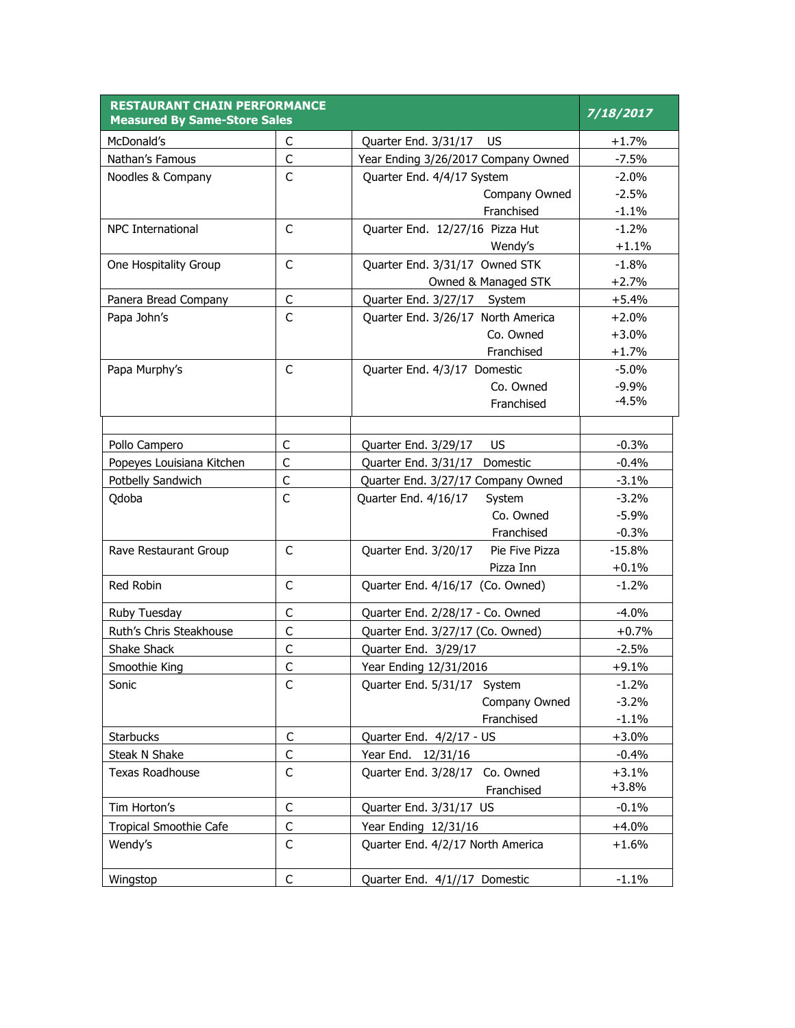| <b>RESTAURANT CHAIN PERFORMANCE</b><br><b>Measured By Same-Store Sales</b> |              |                                        | 7/18/2017 |
|----------------------------------------------------------------------------|--------------|----------------------------------------|-----------|
| McDonald's                                                                 | C            | Quarter End. 3/31/17<br>US.            | $+1.7%$   |
| Nathan's Famous                                                            | C            | Year Ending 3/26/2017 Company Owned    | $-7.5%$   |
| Noodles & Company                                                          | C            | Quarter End. 4/4/17 System             | $-2.0%$   |
|                                                                            |              | Company Owned                          | $-2.5%$   |
|                                                                            |              | Franchised                             | $-1.1%$   |
| <b>NPC International</b>                                                   | C            | Quarter End. 12/27/16 Pizza Hut        | $-1.2%$   |
|                                                                            |              | Wendy's                                | $+1.1%$   |
| One Hospitality Group                                                      | C            | Quarter End. 3/31/17 Owned STK         | $-1.8%$   |
|                                                                            |              | Owned & Managed STK                    | $+2.7%$   |
| Panera Bread Company                                                       | $\mathsf C$  | Quarter End. 3/27/17 System            | $+5.4%$   |
| Papa John's                                                                | $\mathsf{C}$ | Quarter End. 3/26/17 North America     | $+2.0%$   |
|                                                                            |              | Co. Owned                              | $+3.0%$   |
|                                                                            |              | Franchised                             | $+1.7%$   |
| Papa Murphy's                                                              | C            | Quarter End. 4/3/17 Domestic           | $-5.0%$   |
|                                                                            |              | Co. Owned                              | $-9.9%$   |
|                                                                            |              | Franchised                             | $-4.5%$   |
|                                                                            |              |                                        |           |
| Pollo Campero                                                              | C            | <b>US</b><br>Quarter End. 3/29/17      | $-0.3%$   |
| Popeyes Louisiana Kitchen                                                  | C            | Quarter End. 3/31/17<br>Domestic       | $-0.4%$   |
| Potbelly Sandwich                                                          | $\mathsf{C}$ | Quarter End. 3/27/17 Company Owned     | $-3.1%$   |
| Qdoba                                                                      | $\mathsf{C}$ | Quarter End. 4/16/17<br>System         | $-3.2%$   |
|                                                                            |              | Co. Owned                              | $-5.9%$   |
|                                                                            |              | Franchised                             | $-0.3%$   |
| Rave Restaurant Group                                                      | C            | Pie Five Pizza<br>Quarter End. 3/20/17 | $-15.8%$  |
|                                                                            |              | Pizza Inn                              | $+0.1%$   |
| Red Robin                                                                  | C            | Quarter End. 4/16/17 (Co. Owned)       | $-1.2%$   |
| Ruby Tuesday                                                               | С            | Quarter End. 2/28/17 - Co. Owned       | $-4.0%$   |
| Ruth's Chris Steakhouse                                                    | $\mathsf{C}$ | Quarter End. 3/27/17 (Co. Owned)       | $+0.7%$   |
| Shake Shack                                                                | C            | Quarter End. 3/29/17                   | $-2.5%$   |
| Smoothie King                                                              | $\mathsf C$  | Year Ending 12/31/2016                 | $+9.1%$   |
| Sonic                                                                      | C            | Quarter End. 5/31/17 System            | $-1.2%$   |
|                                                                            |              | Company Owned                          | $-3.2%$   |
|                                                                            |              | Franchised                             | $-1.1%$   |
| <b>Starbucks</b>                                                           | $\mathsf C$  | Quarter End. 4/2/17 - US               | $+3.0%$   |
| Steak N Shake                                                              | C            | Year End. 12/31/16                     | $-0.4%$   |
| <b>Texas Roadhouse</b>                                                     | C            | Quarter End. 3/28/17 Co. Owned         | $+3.1%$   |
|                                                                            |              | Franchised                             | $+3.8%$   |
| Tim Horton's                                                               | $\mathsf C$  | Quarter End. 3/31/17 US                | $-0.1%$   |
| <b>Tropical Smoothie Cafe</b>                                              | $\mathsf C$  | Year Ending 12/31/16                   | $+4.0%$   |
| Wendy's                                                                    | C            | Quarter End. 4/2/17 North America      | $+1.6%$   |
| Wingstop                                                                   | $\mathsf C$  | Quarter End. 4/1//17 Domestic          | $-1.1%$   |